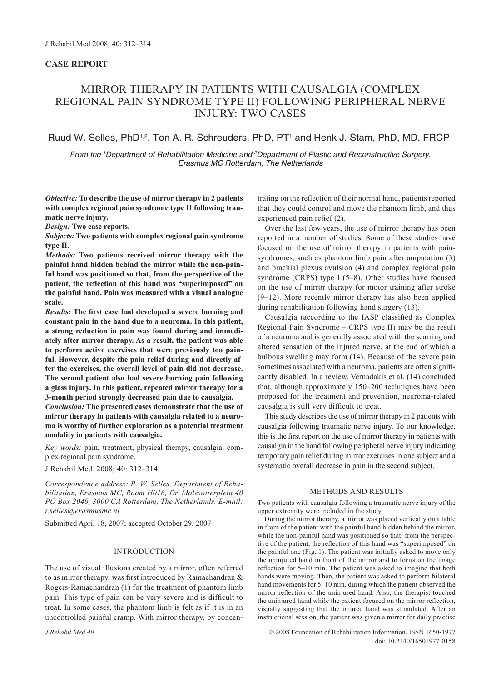## **Case Report**

# MIRROR THERAPY IN PATIENTS WITH CAUSALGIA (COMPLEX REGIONAL PAIN SYNDROME TYPE II) FOLLOWING PERIPHERAL NERVE INJURY: TWO CASES

# Ruud W. Selles, PhD<sup>1,2</sup>, Ton A. R. Schreuders, PhD, PT<sup>1</sup> and Henk J. Stam, PhD, MD, FRCP<sup>1</sup>

*From the 'Department of Rehabilitation Medicine and <sup>2</sup>Department of Plastic and Reconstructive Surgery, Erasmus MC Rotterdam, The Netherlands*

*Objective:* **To describe the use of mirror therapy in 2 patients with complex regional pain syndrome type II following traumatic nerve injury.** 

*Design:* **Two case reports.**

*Subjects:* **Two patients with complex regional pain syndrome type II.**

*Methods:* **Two patients received mirror therapy with the painful hand hidden behind the mirror while the non-painful hand was positioned so that, from the perspective of the patient, the reflection of this hand was "superimposed" on the painful hand. Pain was measured with a visual analogue scale.** 

*Results:* **The first case had developed a severe burning and constant pain in the hand due to a neuroma. In this patient, a strong reduction in pain was found during and immediately after mirror therapy. As a result, the patient was able to perform active exercises that were previously too painful. However, despite the pain relief during and directly after the exercises, the overall level of pain did not decrease. The second patient also had severe burning pain following a glass injury. In this patient, repeated mirror therapy for a 3-month period strongly decreased pain due to causalgia.** 

*Conclusion:* **The presented cases demonstrate that the use of mirror therapy in patients with causalgia related to a neuroma is worthy of further exploration as a potential treatment modality in patients with causalgia.** 

*Key words:* pain, treatment, physical therapy, causalgia, complex regional pain syndrome.

J Rehabil Med 2008; 40: 312–314

*Correspondence address: R. W. Selles, Department of Rehabilitation, Erasmus MC, Room H016, Dr. Molewaterplein 40 PO Box 2040, 3000 CA Rotterdam, The Netherlands. E-mail: r.selles@erasmusmc.nl*

Submitted April 18, 2007; accepted October 29, 2007

### **INTRODUCTION**

The use of visual illusions created by a mirror, often referred to as mirror therapy, was first introduced by Ramachandran & Rogers-Ramachandran (1) for the treatment of phantom limb pain. This type of pain can be very severe and is difficult to treat. In some cases, the phantom limb is felt as if it is in an uncontrolled painful cramp. With mirror therapy, by concentrating on the reflection of their normal hand, patients reported that they could control and move the phantom limb, and thus experienced pain relief (2).

Over the last few years, the use of mirror therapy has been reported in a number of studies. Some of these studies have focused on the use of mirror therapy in patients with painsyndromes, such as phantom limb pain after amputation (3) and brachial plexus avulsion (4) and complex regional pain syndrome (CRPS) type I (5–8). Other studies have focused on the use of mirror therapy for motor training after stroke (9–12). More recently mirror therapy has also been applied during rehabilitation following hand surgery (13).

Causalgia (according to the IASP classified as Complex Regional Pain Syndrome – CRPS type II) may be the result of a neuroma and is generally associated with the scarring and altered sensation of the injured nerve, at the end of which a bulbous swelling may form (14). Because of the severe pain sometimes associated with a neuroma, patients are often significantly disabled. In a review, Vernadakis et al. (14) concluded that, although approximately 150–200 techniques have been proposed for the treatment and prevention, neuroma-related causalgia is still very difficult to treat.

This study describes the use of mirror therapy in 2 patients with causalgia following traumatic nerve injury. To our knowledge, this is the first report on the use of mirror therapy in patients with causalgia in the hand following peripheral nerve injury indicating temporary pain relief during mirror exercises in one subject and a systematic overall decrease in pain in the second subject.

### Methods and Results

Two patients with causalgia following a traumatic nerve injury of the upper extremity were included in the study.

During the mirror therapy, a mirror was placed vertically on a table in front of the patient with the painful hand hidden behind the mirror, while the non-painful hand was positioned so that, from the perspective of the patient, the reflection of this hand was "superimposed" on the painful one (Fig. 1). The patient was initially asked to move only the uninjured hand in front of the mirror and to focus on the image reflection for 5–10 min. The patient was asked to imagine that both hands were moving. Then, the patient was asked to perform bilateral hand movements for 5–10 min, during which the patient observed the mirror reflection of the uninjured hand. Also, the therapist touched the uninjured hand while the patient focused on the mirror reflection, visually suggesting that the injured hand was stimulated. After an instructional session, the patient was given a mirror for daily practise

© 2008 Foundation of Rehabilitation Information. ISSN 1650-1977 doi: 10.2340/16501977-0158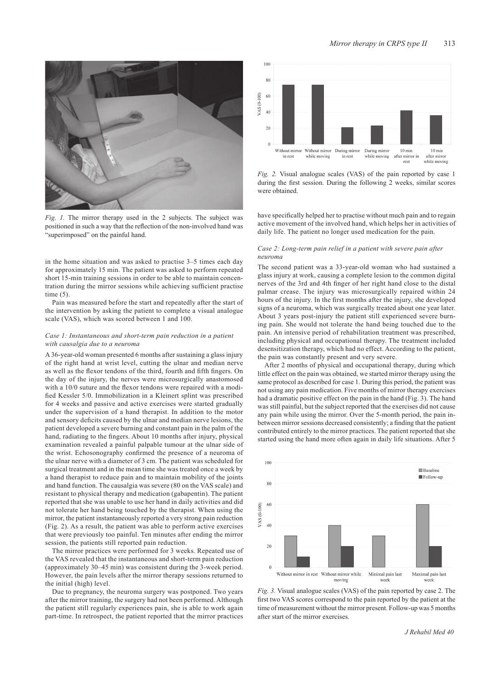

*Fig. 1.* The mirror therapy used in the 2 subjects. The subject was positioned in such a way that the reflection of the non-involved hand was "superimposed" on the painful hand.

in the home situation and was asked to practise 3–5 times each day for approximately 15 min. The patient was asked to perform repeated short 15-min training sessions in order to be able to maintain concentration during the mirror sessions while achieving sufficient practise time  $(5)$ .

Pain was measured before the start and repeatedly after the start of the intervention by asking the patient to complete a visual analogue scale (VAS), which was scored between 1 and 100.

#### *Case 1: Instantaneous and short-term pain reduction in a patient with causalgia due to a neuroma*

A 36-year-old woman presented 6 months after sustaining a glass injury of the right hand at wrist level, cutting the ulnar and median nerve as well as the flexor tendons of the third, fourth and fifth fingers. On the day of the injury, the nerves were microsurgically anastomosed with a 10/0 suture and the flexor tendons were repaired with a modified Kessler 5/0. Immobilization in a Kleinert splint was prescribed for 4 weeks and passive and active exercises were started gradually under the supervision of a hand therapist. In addition to the motor and sensory deficits caused by the ulnar and median nerve lesions, the patient developed a severe burning and constant pain in the palm of the hand, radiating to the fingers. About 10 months after injury, physical examination revealed a painful palpable tumour at the ulnar side of the wrist. Echosonography confirmed the presence of a neuroma of the ulnar nerve with a diameter of 3 cm. The patient was scheduled for surgical treatment and in the mean time she was treated once a week by a hand therapist to reduce pain and to maintain mobility of the joints and hand function. The causalgia was severe (80 on the VAS scale) and resistant to physical therapy and medication (gabapentin). The patient reported that she was unable to use her hand in daily activities and did not tolerate her hand being touched by the therapist. When using the mirror, the patient instantaneously reported a very strong pain reduction (Fig. 2). As a result, the patient was able to perform active exercises that were previously too painful. Ten minutes after ending the mirror session, the patients still reported pain reduction.

The mirror practices were performed for 3 weeks. Repeated use of the VAS revealed that the instantaneous and short-term pain reduction (approximately 30–45 min) was consistent during the 3-week period. However, the pain levels after the mirror therapy sessions returned to the initial (high) level.

Due to pregnancy, the neuroma surgery was postponed. Two years after the mirror training, the surgery had not been performed. Although the patient still regularly experiences pain, she is able to work again part-time. In retrospect, the patient reported that the mirror practices



*Fig. 2.* Visual analogue scales (VAS) of the pain reported by case 1 during the first session. During the following 2 weeks, similar scores were obtained

have specifically helped her to practise without much pain and to regain active movement of the involved hand, which helps her in activities of daily life. The patient no longer used medication for the pain.

#### *Case 2: Long-term pain relief in a patient with severe pain after neuroma*

The second patient was a 33-year-old woman who had sustained a glass injury at work, causing a complete lesion to the common digital nerves of the 3rd and 4th finger of her right hand close to the distal palmar crease. The injury was microsurgically repaired within 24 hours of the injury. In the first months after the injury, she developed signs of a neuroma, which was surgically treated about one year later. About 3 years post-injury the patient still experienced severe burning pain. She would not tolerate the hand being touched due to the pain. An intensive period of rehabilitation treatment was prescribed, including physical and occupational therapy. The treatment included desensitization therapy, which had no effect. According to the patient, the pain was constantly present and very severe.

After 2 months of physical and occupational therapy, during which little effect on the pain was obtained, we started mirror therapy using the same protocol as described for case 1. During this period, the patient was not using any pain medication. Five months of mirror therapy exercises had a dramatic positive effect on the pain in the hand (Fig. 3). The hand was still painful, but the subject reported that the exercises did not cause any pain while using the mirror. Over the 5-month period, the pain inbetween mirror sessions decreased consistently; a finding that the patient contributed entirely to the mirror practices. The patient reported that she started using the hand more often again in daily life situations. After 5



*Fig. 3.* Visual analogue scales (VAS) of the pain reported by case 2. The first two VAS scores correspond to the pain reported by the patient at the time of measurement without the mirror present. Follow-up was 5 months after start of the mirror exercises.